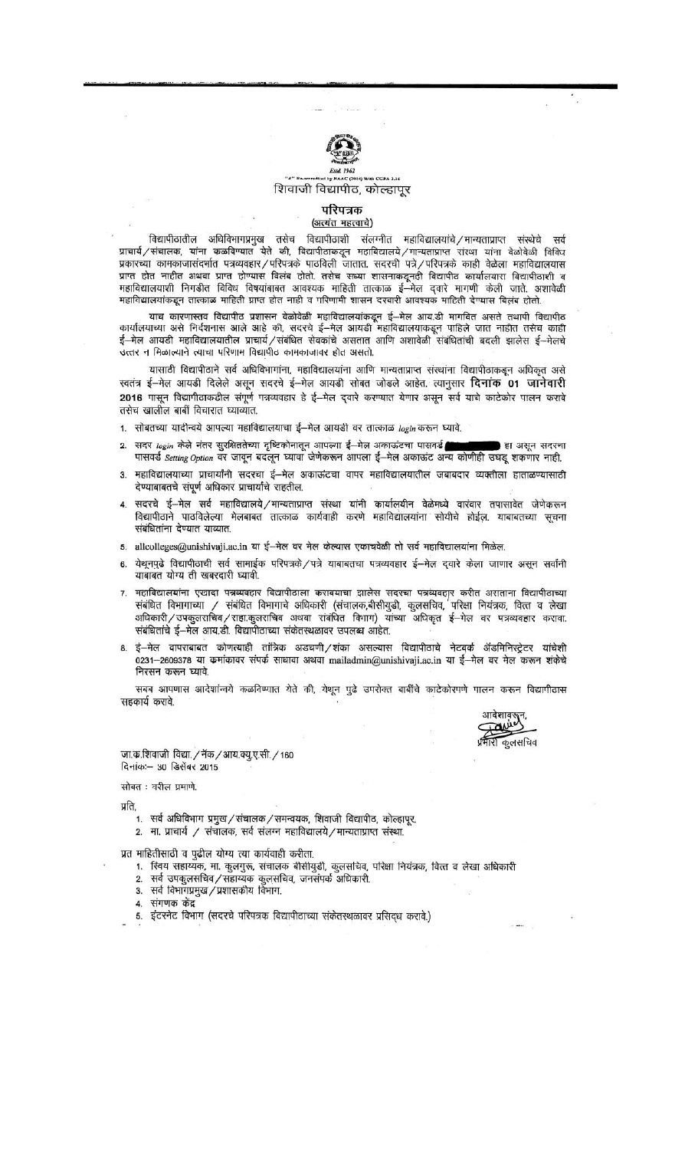

## CGPA-3.16 शिवाजी विद्यापीठ, कोल्हापूर

## परिपत्रक (अत्यंत महत्वाचे)

विद्यापीठातील अधिविभागप्रमुख तसेच विद्यापीठाशी संलग्नीत महाविद्यालयांचे/मान्यताप्राप्त संस्थेचे सर्व<br>प्राचार्य/संचालक, यांना कळविण्यात येते की, विद्यापीठाकडून महाविद्यालये/मान्यताप्राप्त संस्था यांना वेळोवेळी विविध प्रकारच्या कामकाजासंदर्भात पत्रव्यवहार/परिपत्रके पाठविली जातात. सदरची पत्रे/परिपत्रके काही वेळेला महाविद्यालयास प्राप्त होत नाहीत अथवा प्राप्त होण्यास विलंब होतो. तसेच सध्या शासनाकडूनही विद्यापीठ कार्यालयास विद्यापीठाशी व महाविद्यालयाशी निगडीत विविध विषयांबाबत आवश्यक माहिती तात्काळ ई—मेल दवारे मागणी केली जाते. अशावेळी महाविद्यालयांकडून तात्काळ माहिती प्राप्त होत नाही व परिणामी शासन दरबारी आवश्यक माहिती देण्यास विलंब होतो.

याच कारणास्तव विद्यापीठ प्रशासन वेळोवेळी महाविद्यालयांकडून ई—मेल आय.डी मागवित असते तथापी विद्यापीठ<br>कार्यालयाच्या असे निर्दशनास आले आहे की, सदरचे ई—मेल आयडी महाविद्यालयाकडून पाहिले जात नाहीत तसेच काही ई—मेल आयडी महाविद्यालयातील प्राचार्य/संबंधित सेवकांचे असतात आणि अशावेळी संबंधितांची बदली झालेस ई—मेलचे उत्तर न मिळाल्याने त्याचा परिणाम विद्यापीठ कामकाजावर होत असतो.

यासाठी विद्यापीठाने सर्व अधिविभागांना, महाविद्यालयांना आणि मान्यताप्राप्त संस्थांना विद्यापीठाकडून अधिकृत असे स्वतंत्र ई-मेल आयडी दिलेले असून सदरचे ई-मेल आयडी सोबत जोडले आहेत. त्यानुसार दिनांक 01 जानेवारी 2016 पासून विद्यापीठाकडील संपूर्ण पत्रव्यवहार हे ई-मेल दवारे करण्यात येणार असून सर्व याचे काटेकोर पालन करावे तसेच खालील बाबीं विचारात घ्याव्यात.

1. सोबतच्या यादीन्वये आपल्या महाविद्यालयाचा ई-मेल आयडी वर तात्काळ login करून घ्यावे.

- सदर login केले नंतर सुरक्षिततेच्या दृष्टिकोनातून आपल्या ई-मेल अकाऊंटचा पासवर्ड  $2.$ **हा असन सदरचा** पासवर्ड Setting Option वर जावून बदलून घ्यावा जेणेकरून आपला ई-मेल अकाऊंट अन्य कोणीही उघडू शकणार नाही.
- महाविद्यालयाच्या प्राचार्यांनी सदरचा ई-मेल अकाऊंटचा वापर महाविद्यालयातील जबाबदार व्यक्तीला हाताळण्यासाठी देण्याबाबतचे संपूर्ण अधिकार प्राचार्यांचे राहतील.
- सदरचे ई-मेल सर्व महाविद्यालये/मान्यताप्राप्त संस्था यांनी कार्यालयीन वेळेमध्ये वारंवार तपासावेत जेणेकरून विद्यापीठाने पाठविलेल्या मेलबाबत तात्काळ कार्यवाही करणे महाविद्यालयांना सोयीचे होईल. याबाबतच्या सूचना संबंधितांना देण्यात याव्यात.
- 5. allcolleges@unishivaji.ac.in या ई-मेल वर मेल केल्यास एकाचवेळी तो सर्व महाविद्यालयांना मिळेल.
- येथूनपुढे विद्यापीठाची सर्व सामाईक परिपत्रके/पत्रे याबाबतचा पत्रव्यवहार ई--मेल द्वारे केला जाणार असून सर्वांनी 6. याबाबत योग्य ती खबरदारी घ्यावी.
- महाविद्यालयांना एखादा पत्रव्यवहार विद्यापीठाला करावयाचा झालेस सदरचा पत्रव्यवहार करीत असताना विद्यापीठाच्या संबंधित विभागाच्या / संबंधित विभागाचे अधिकारी (संचालक,बीसीयुडी, कुलसचिव, परिक्षा नियंत्रक, वित्त व लेखा अधिकारी/उपकुलसचिव/सहा.कुलसचिव अथवा संबंधित विभाग) यांच्या अधिकृत ई—मेल वर पत्रव्यवहार करावा. संबंधितांचे ई-मेल आय.डी. विद्यापीठाच्या संकेतस्थळावर उपलब्ध आहेत.
- ई—मेल वापराबाबत कोणत्याही तांत्रिक अडचणी / शंका असल्यास विद्यापीठाचे नेटवर्क ॲडमिनिस्ट्रेटर यांचेशी 0231-2609378 या कमांकावर संपर्क साधावा अथवा mailadmin@unishivaji.ac.in या ई-मेल वर मेल करून शंकेचे निरसन करून घ्यावे.

सबब आपणास आदेशांन्वये कळविण्यात येते की, येथून पुढे उपरोक्त बाबींचे काटेकोरपणे पालन करून विद्यापीठास सहकार्य करावे.

आदेशावरु<br>अयोग री कुलसचिव

जा.क.शिवाजी विद्या. / नॅक / आय.क्यु.ए.सी. / 160 दिनांक :- 30 डिसेंबर 2015

सोबत : वरील प्रमाणे.

प्रति,

- 1. सर्व अधिविभाग प्रमुख / संचालक / समन्वयक, शिवाजी विद्यापीठ, कोल्हापूर.
- 2. मा. प्राचार्य / संचालक, सर्व संलग्न महाविद्यालये/मान्यताप्राप्त संस्था.

प्रत माहितीसाठी व पुढील योग्य त्या कार्यवाही करीता.

- 1. स्विय सहाय्यक, मा. कुलगुरू, संचालक बीसीयुडी, कुलसचिव, परिक्षा नियंत्रक, वित्त व लेखा अधिकारी
- 2. सर्व उपकूलसचिव/सहाय्यक कूलसचिव, जनसंपर्क अधिकारी.
- 3. सर्व विभागप्रमुख /प्रशासकीय विभाग.
- संगणक केंद्र  $4.$
- 5. इंटरनेट विभाग (सदरचे परिपत्रक विद्यापीठाच्या संकेतस्थळावर प्रसिद्ध करावे.)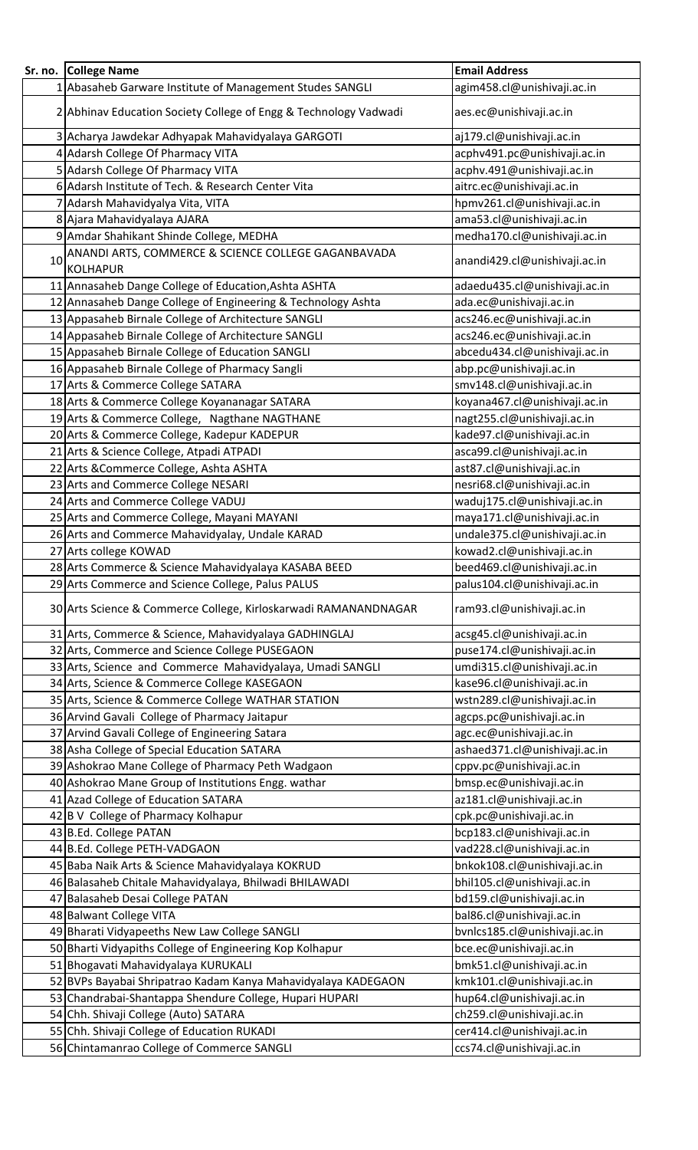| Sr. no. | <b>College Name</b>                                                    | <b>Email Address</b>          |
|---------|------------------------------------------------------------------------|-------------------------------|
|         | 1 Abasaheb Garware Institute of Management Studes SANGLI               | agim458.cl@unishivaji.ac.in   |
|         | 2 Abhinav Education Society College of Engg & Technology Vadwadi       | aes.ec@unishivaji.ac.in       |
|         | 3 Acharya Jawdekar Adhyapak Mahavidyalaya GARGOTI                      | aj179.cl@unishivaji.ac.in     |
|         | 4 Adarsh College Of Pharmacy VITA                                      | acphv491.pc@unishivaji.ac.in  |
|         | 5 Adarsh College Of Pharmacy VITA                                      | acphv.491@unishivaji.ac.in    |
|         | 6 Adarsh Institute of Tech. & Research Center Vita                     | aitrc.ec@unishivaji.ac.in     |
|         | 7 Adarsh Mahavidyalya Vita, VITA                                       | hpmv261.cl@unishivaji.ac.in   |
|         | 8 Ajara Mahavidyalaya AJARA                                            | ama53.cl@unishivaji.ac.in     |
|         | 9 Amdar Shahikant Shinde College, MEDHA                                | medha170.cl@unishivaji.ac.in  |
| 10      | ANANDI ARTS, COMMERCE & SCIENCE COLLEGE GAGANBAVADA<br><b>KOLHAPUR</b> | anandi429.cl@unishivaji.ac.in |
|         | 11 Annasaheb Dange College of Education, Ashta ASHTA                   | adaedu435.cl@unishivaji.ac.in |
|         | 12 Annasaheb Dange College of Engineering & Technology Ashta           | ada.ec@unishivaji.ac.in       |
|         | 13 Appasaheb Birnale College of Architecture SANGLI                    | acs246.ec@unishivaji.ac.in    |
|         | 14 Appasaheb Birnale College of Architecture SANGLI                    | acs246.ec@unishivaji.ac.in    |
|         | 15 Appasaheb Birnale College of Education SANGLI                       | abcedu434.cl@unishivaji.ac.in |
|         | 16 Appasaheb Birnale College of Pharmacy Sangli                        | abp.pc@unishivaji.ac.in       |
|         | 17 Arts & Commerce College SATARA                                      | smv148.cl@unishivaji.ac.in    |
|         | 18 Arts & Commerce College Koyananagar SATARA                          | koyana467.cl@unishivaji.ac.in |
|         | 19 Arts & Commerce College, Nagthane NAGTHANE                          | nagt255.cl@unishivaji.ac.in   |
|         | 20 Arts & Commerce College, Kadepur KADEPUR                            | kade97.cl@unishivaji.ac.in    |
|         | 21 Arts & Science College, Atpadi ATPADI                               | asca99.cl@unishivaji.ac.in    |
|         | 22 Arts & Commerce College, Ashta ASHTA                                | ast87.cl@unishivaji.ac.in     |
|         | 23 Arts and Commerce College NESARI                                    | nesri68.cl@unishivaji.ac.in   |
|         | 24 Arts and Commerce College VADUJ                                     | waduj175.cl@unishivaji.ac.in  |
|         | 25 Arts and Commerce College, Mayani MAYANI                            | maya171.cl@unishivaji.ac.in   |
|         | 26 Arts and Commerce Mahavidyalay, Undale KARAD                        | undale375.cl@unishivaji.ac.in |
|         | 27 Arts college KOWAD                                                  | kowad2.cl@unishivaji.ac.in    |
|         | 28 Arts Commerce & Science Mahavidyalaya KASABA BEED                   | beed469.cl@unishivaji.ac.in   |
|         | 29 Arts Commerce and Science College, Palus PALUS                      | palus104.cl@unishivaji.ac.in  |
|         | 30 Arts Science & Commerce College, Kirloskarwadi RAMANANDNAGAR        | ram93.cl@unishivaji.ac.in     |
|         | 31 Arts, Commerce & Science, Mahavidyalaya GADHINGLAJ                  | acsg45.cl@unishivaji.ac.in    |
|         | 32 Arts, Commerce and Science College PUSEGAON                         | puse174.cl@unishivaji.ac.in   |
|         | 33 Arts, Science and Commerce Mahavidyalaya, Umadi SANGLI              | umdi315.cl@unishivaji.ac.in   |
|         | 34 Arts, Science & Commerce College KASEGAON                           | kase96.cl@unishivaji.ac.in    |
|         | 35 Arts, Science & Commerce College WATHAR STATION                     | wstn289.cl@unishivaji.ac.in   |
|         | 36 Arvind Gavali College of Pharmacy Jaitapur                          | agcps.pc@unishivaji.ac.in     |
|         | 37 Arvind Gavali College of Engineering Satara                         | agc.ec@unishivaji.ac.in       |
|         | 38 Asha College of Special Education SATARA                            | ashaed371.cl@unishivaji.ac.in |
|         | 39 Ashokrao Mane College of Pharmacy Peth Wadgaon                      | cppv.pc@unishivaji.ac.in      |
|         | 40 Ashokrao Mane Group of Institutions Engg. wathar                    | bmsp.ec@unishivaji.ac.in      |
|         | 41 Azad College of Education SATARA                                    | az181.cl@unishivaji.ac.in     |
|         | 42 B V College of Pharmacy Kolhapur                                    | cpk.pc@unishivaji.ac.in       |
|         | 43 B.Ed. College PATAN                                                 | bcp183.cl@unishivaji.ac.in    |
|         | 44 B.Ed. College PETH-VADGAON                                          | vad228.cl@unishivaji.ac.in    |
|         | 45 Baba Naik Arts & Science Mahavidyalaya KOKRUD                       | bnkok108.cl@unishivaji.ac.in  |
|         | 46 Balasaheb Chitale Mahavidyalaya, Bhilwadi BHILAWADI                 | bhil105.cl@unishivaji.ac.in   |
|         | 47 Balasaheb Desai College PATAN                                       | bd159.cl@unishivaji.ac.in     |
|         | 48 Balwant College VITA                                                | bal86.cl@unishivaji.ac.in     |
|         | 49 Bharati Vidyapeeths New Law College SANGLI                          | bvnlcs185.cl@unishivaji.ac.in |
|         | 50 Bharti Vidyapiths College of Engineering Kop Kolhapur               | bce.ec@unishivaji.ac.in       |
|         | 51 Bhogavati Mahavidyalaya KURUKALI                                    | bmk51.cl@unishivaji.ac.in     |
|         | 52 BVPs Bayabai Shripatrao Kadam Kanya Mahavidyalaya KADEGAON          | kmk101.cl@unishivaji.ac.in    |
|         | 53 Chandrabai-Shantappa Shendure College, Hupari HUPARI                | hup64.cl@unishivaji.ac.in     |
|         | 54 Chh. Shivaji College (Auto) SATARA                                  | ch259.cl@unishivaji.ac.in     |
|         | 55 Chh. Shivaji College of Education RUKADI                            | cer414.cl@unishivaji.ac.in    |
|         | 56 Chintamanrao College of Commerce SANGLI                             | ccs74.cl@unishivaji.ac.in     |
|         |                                                                        |                               |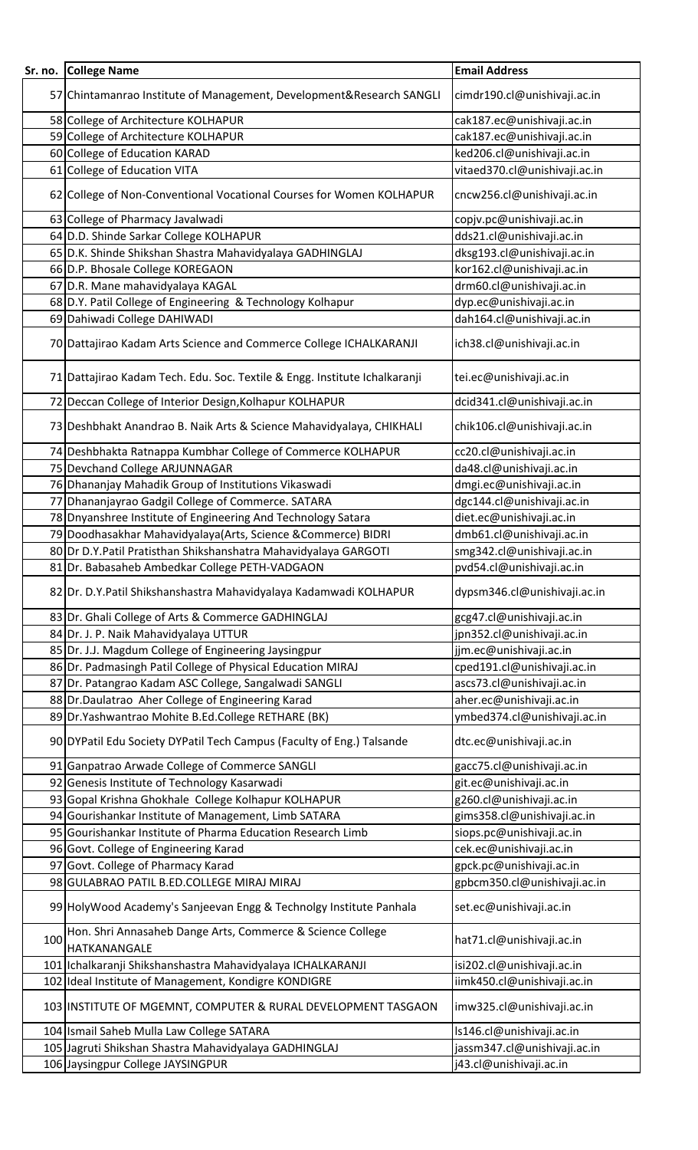|     | Sr. no. College Name                                                       | <b>Email Address</b>          |
|-----|----------------------------------------------------------------------------|-------------------------------|
|     |                                                                            |                               |
|     | 57 Chintamanrao Institute of Management, Development&Research SANGLI       | cimdr190.cl@unishivaji.ac.in  |
|     | 58 College of Architecture KOLHAPUR                                        | cak187.ec@unishivaji.ac.in    |
|     | 59 College of Architecture KOLHAPUR                                        | cak187.ec@unishivaji.ac.in    |
|     | 60 College of Education KARAD                                              | ked206.cl@unishivaji.ac.in    |
|     | 61 College of Education VITA                                               | vitaed370.cl@unishivaji.ac.in |
|     | 62 College of Non-Conventional Vocational Courses for Women KOLHAPUR       | cncw256.cl@unishivaji.ac.in   |
|     | 63 College of Pharmacy Javalwadi                                           | copjv.pc@unishivaji.ac.in     |
|     | 64 D.D. Shinde Sarkar College KOLHAPUR                                     | dds21.cl@unishivaji.ac.in     |
|     | 65 D.K. Shinde Shikshan Shastra Mahavidyalaya GADHINGLAJ                   | dksg193.cl@unishivaji.ac.in   |
|     | 66 D.P. Bhosale College KOREGAON                                           | kor162.cl@unishivaji.ac.in    |
|     | 67 D.R. Mane mahavidyalaya KAGAL                                           | drm60.cl@unishivaji.ac.in     |
|     | 68 D.Y. Patil College of Engineering & Technology Kolhapur                 | dyp.ec@unishivaji.ac.in       |
|     | 69 Dahiwadi College DAHIWADI                                               | dah164.cl@unishivaji.ac.in    |
|     | 70 Dattajirao Kadam Arts Science and Commerce College ICHALKARANJI         | ich38.cl@unishivaji.ac.in     |
|     | 71 Dattajirao Kadam Tech. Edu. Soc. Textile & Engg. Institute Ichalkaranji | tei.ec@unishivaji.ac.in       |
|     | 72 Deccan College of Interior Design, Kolhapur KOLHAPUR                    | dcid341.cl@unishivaji.ac.in   |
|     | 73 Deshbhakt Anandrao B. Naik Arts & Science Mahavidyalaya, CHIKHALI       | chik106.cl@unishivaji.ac.in   |
|     |                                                                            |                               |
|     | 74 Deshbhakta Ratnappa Kumbhar College of Commerce KOLHAPUR                | cc20.cl@unishivaji.ac.in      |
|     | 75 Devchand College ARJUNNAGAR                                             | da48.cl@unishivaji.ac.in      |
|     | 76 Dhananjay Mahadik Group of Institutions Vikaswadi                       | dmgi.ec@unishivaji.ac.in      |
|     | 77 Dhananjayrao Gadgil College of Commerce. SATARA                         | dgc144.cl@unishivaji.ac.in    |
|     | 78 Dnyanshree Institute of Engineering And Technology Satara               | diet.ec@unishivaji.ac.in      |
|     | 79 Doodhasakhar Mahavidyalaya (Arts, Science & Commerce) BIDRI             | dmb61.cl@unishivaji.ac.in     |
|     | 80 Dr D.Y.Patil Pratisthan Shikshanshatra Mahavidyalaya GARGOTI            | smg342.cl@unishivaji.ac.in    |
|     | 81 Dr. Babasaheb Ambedkar College PETH-VADGAON                             | pvd54.cl@unishivaji.ac.in     |
|     | 82 Dr. D.Y.Patil Shikshanshastra Mahavidyalaya Kadamwadi KOLHAPUR          | dypsm346.cl@unishivaji.ac.in  |
|     | 83 Dr. Ghali College of Arts & Commerce GADHINGLAJ                         | gcg47.cl@unishivaji.ac.in     |
|     | 84 Dr. J. P. Naik Mahavidyalaya UTTUR                                      | jpn352.cl@unishivaji.ac.in    |
|     | 85 Dr. J.J. Magdum College of Engineering Jaysingpur                       | jjm.ec@unishivaji.ac.in       |
|     | 86 Dr. Padmasingh Patil College of Physical Education MIRAJ                | cped191.cl@unishivaji.ac.in   |
|     | 87 Dr. Patangrao Kadam ASC College, Sangalwadi SANGLI                      | ascs73.cl@unishivaji.ac.in    |
|     | 88 Dr. Daulatrao Aher College of Engineering Karad                         | aher.ec@unishivaji.ac.in      |
|     | 89 Dr. Yashwantrao Mohite B.Ed. College RETHARE (BK)                       | ymbed374.cl@unishivaji.ac.in  |
|     | 90 DYPatil Edu Society DYPatil Tech Campus (Faculty of Eng.) Talsande      | dtc.ec@unishivaji.ac.in       |
|     | 91 Ganpatrao Arwade College of Commerce SANGLI                             | gacc75.cl@unishivaji.ac.in    |
|     | 92 Genesis Institute of Technology Kasarwadi                               | git.ec@unishivaji.ac.in       |
|     | 93 Gopal Krishna Ghokhale College Kolhapur KOLHAPUR                        | g260.cl@unishivaji.ac.in      |
|     | 94 Gourishankar Institute of Management, Limb SATARA                       | gims358.cl@unishivaji.ac.in   |
|     | 95 Gourishankar Institute of Pharma Education Research Limb                | siops.pc@unishivaji.ac.in     |
|     | 96 Govt. College of Engineering Karad                                      | cek.ec@unishivaji.ac.in       |
|     | 97 Govt. College of Pharmacy Karad                                         | gpck.pc@unishivaji.ac.in      |
|     | 98 GULABRAO PATIL B.ED.COLLEGE MIRAJ MIRAJ                                 | gpbcm350.cl@unishivaji.ac.in  |
|     | 99 HolyWood Academy's Sanjeevan Engg & Technolgy Institute Panhala         | set.ec@unishivaji.ac.in       |
| 100 | Hon. Shri Annasaheb Dange Arts, Commerce & Science College<br>HATKANANGALE | hat71.cl@unishivaji.ac.in     |
|     | 101 Ichalkaranji Shikshanshastra Mahavidyalaya ICHALKARANJI                | isi202.cl@unishivaji.ac.in    |
|     | 102 Ideal Institute of Management, Kondigre KONDIGRE                       | iimk450.cl@unishivaji.ac.in   |
|     | 103 INSTITUTE OF MGEMNT, COMPUTER & RURAL DEVELOPMENT TASGAON              | imw325.cl@unishivaji.ac.in    |
|     | 104 Ismail Saheb Mulla Law College SATARA                                  | ls146.cl@unishivaji.ac.in     |
|     | 105 Jagruti Shikshan Shastra Mahavidyalaya GADHINGLAJ                      | jassm347.cl@unishivaji.ac.in  |
|     | 106 Jaysingpur College JAYSINGPUR                                          | j43.cl@unishivaji.ac.in       |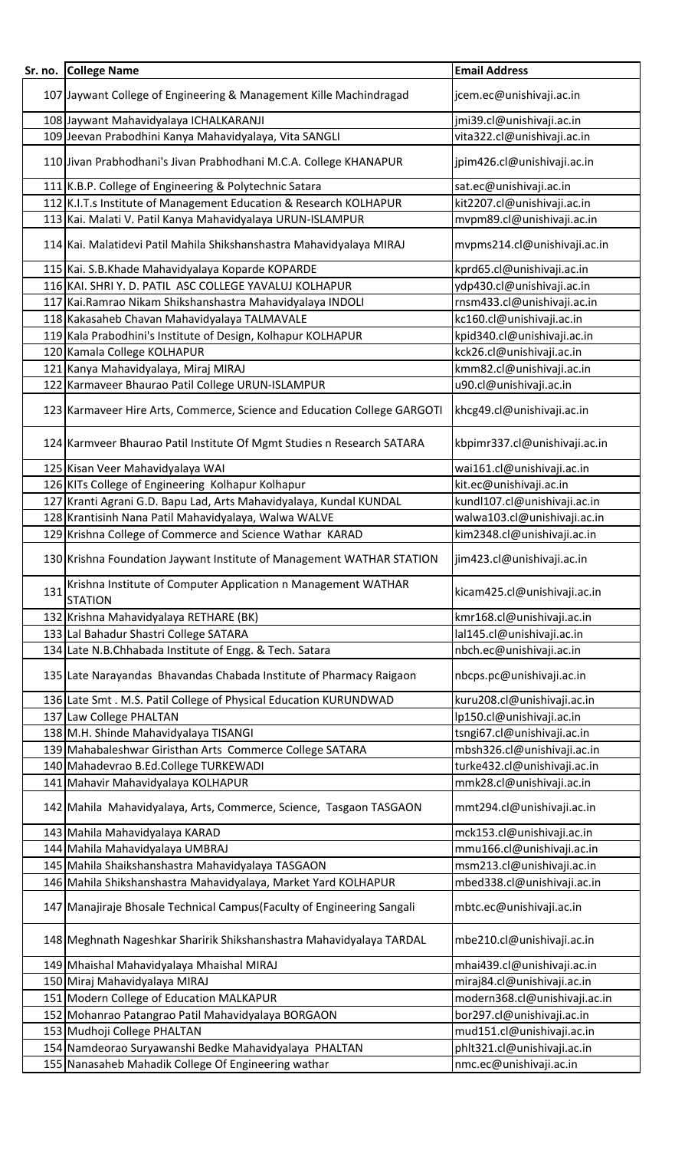| Sr. no. | <b>College Name</b>                                                             | <b>Email Address</b>          |
|---------|---------------------------------------------------------------------------------|-------------------------------|
|         |                                                                                 |                               |
|         | 107 Jaywant College of Engineering & Management Kille Machindragad              | jcem.ec@unishivaji.ac.in      |
|         | 108 Jaywant Mahavidyalaya ICHALKARANJI                                          | jmi39.cl@unishivaji.ac.in     |
|         | 109 Jeevan Prabodhini Kanya Mahavidyalaya, Vita SANGLI                          | vita322.cl@unishivaji.ac.in   |
|         | 110 Jivan Prabhodhani's Jivan Prabhodhani M.C.A. College KHANAPUR               | jpim426.cl@unishivaji.ac.in   |
|         | 111 K.B.P. College of Engineering & Polytechnic Satara                          | sat.ec@unishivaji.ac.in       |
|         | 112 K.I.T.s Institute of Management Education & Research KOLHAPUR               | kit2207.cl@unishivaji.ac.in   |
|         | 113 Kai. Malati V. Patil Kanya Mahavidyalaya URUN-ISLAMPUR                      | mvpm89.cl@unishivaji.ac.in    |
|         | 114 Kai. Malatidevi Patil Mahila Shikshanshastra Mahavidyalaya MIRAJ            | mvpms214.cl@unishivaji.ac.in  |
|         | 115 Kai. S.B.Khade Mahavidyalaya Koparde KOPARDE                                | kprd65.cl@unishivaji.ac.in    |
|         | 116 KAI. SHRI Y. D. PATIL ASC COLLEGE YAVALUJ KOLHAPUR                          | ydp430.cl@unishivaji.ac.in    |
|         | 117 Kai. Ramrao Nikam Shikshanshastra Mahavidyalaya INDOLI                      | rnsm433.cl@unishivaji.ac.in   |
|         | 118 Kakasaheb Chavan Mahavidyalaya TALMAVALE                                    | kc160.cl@unishivaji.ac.in     |
|         | 119 Kala Prabodhini's Institute of Design, Kolhapur KOLHAPUR                    | kpid340.cl@unishivaji.ac.in   |
|         | 120 Kamala College KOLHAPUR                                                     | kck26.cl@unishivaji.ac.in     |
|         | 121 Kanya Mahavidyalaya, Miraj MIRAJ                                            | kmm82.cl@unishivaji.ac.in     |
|         | 122 Karmaveer Bhaurao Patil College URUN-ISLAMPUR                               | u90.cl@unishivaji.ac.in       |
|         | 123 Karmaveer Hire Arts, Commerce, Science and Education College GARGOTI        | khcg49.cl@unishivaji.ac.in    |
|         | 124 Karmveer Bhaurao Patil Institute Of Mgmt Studies n Research SATARA          | kbpimr337.cl@unishivaji.ac.in |
|         | 125 Kisan Veer Mahavidyalaya WAI                                                | wai161.cl@unishivaji.ac.in    |
|         | 126 KITs College of Engineering Kolhapur Kolhapur                               | kit.ec@unishivaji.ac.in       |
|         | 127 Kranti Agrani G.D. Bapu Lad, Arts Mahavidyalaya, Kundal KUNDAL              | kundl107.cl@unishivaji.ac.in  |
|         | 128 Krantisinh Nana Patil Mahavidyalaya, Walwa WALVE                            | walwa103.cl@unishivaji.ac.in  |
|         | 129 Krishna College of Commerce and Science Wathar KARAD                        | kim2348.cl@unishivaji.ac.in   |
|         | 130 Krishna Foundation Jaywant Institute of Management WATHAR STATION           | jim423.cl@unishivaji.ac.in    |
| 131     | Krishna Institute of Computer Application n Management WATHAR<br><b>STATION</b> | kicam425.cl@unishivaji.ac.in  |
|         | 132 Krishna Mahavidyalaya RETHARE (BK)                                          | kmr168.cl@unishivaji.ac.in    |
|         | 133 Lal Bahadur Shastri College SATARA                                          | lal145.cl@unishivaji.ac.in    |
|         | 134 Late N.B.Chhabada Institute of Engg. & Tech. Satara                         | nbch.ec@unishivaji.ac.in      |
|         | 135 Late Narayandas Bhavandas Chabada Institute of Pharmacy Raigaon             | nbcps.pc@unishivaji.ac.in     |
|         | 136 Late Smt. M.S. Patil College of Physical Education KURUNDWAD                | kuru208.cl@unishivaji.ac.in   |
|         | 137 Law College PHALTAN                                                         | lp150.cl@unishivaji.ac.in     |
|         | 138 M.H. Shinde Mahavidyalaya TISANGI                                           | tsngi67.cl@unishivaji.ac.in   |
|         | 139 Mahabaleshwar Giristhan Arts Commerce College SATARA                        | mbsh326.cl@unishivaji.ac.in   |
|         | 140 Mahadevrao B.Ed.College TURKEWADI                                           | turke432.cl@unishivaji.ac.in  |
|         | 141 Mahavir Mahavidyalaya KOLHAPUR                                              | mmk28.cl@unishivaji.ac.in     |
|         | 142 Mahila Mahavidyalaya, Arts, Commerce, Science, Tasgaon TASGAON              | mmt294.cl@unishivaji.ac.in    |
|         | 143 Mahila Mahavidyalaya KARAD                                                  | mck153.cl@unishivaji.ac.in    |
|         | 144 Mahila Mahavidyalaya UMBRAJ                                                 | mmu166.cl@unishivaji.ac.in    |
|         | 145 Mahila Shaikshanshastra Mahavidyalaya TASGAON                               | msm213.cl@unishivaji.ac.in    |
|         | 146 Mahila Shikshanshastra Mahavidyalaya, Market Yard KOLHAPUR                  | mbed338.cl@unishivaji.ac.in   |
|         | 147 Manajiraje Bhosale Technical Campus (Faculty of Engineering Sangali         | mbtc.ec@unishivaji.ac.in      |
|         | 148 Meghnath Nageshkar Sharirik Shikshanshastra Mahavidyalaya TARDAL            | mbe210.cl@unishivaji.ac.in    |
|         | 149 Mhaishal Mahavidyalaya Mhaishal MIRAJ                                       | mhai439.cl@unishivaji.ac.in   |
|         | 150 Miraj Mahavidyalaya MIRAJ                                                   | miraj84.cl@unishivaji.ac.in   |
|         | 151 Modern College of Education MALKAPUR                                        | modern368.cl@unishivaji.ac.in |
|         | 152 Mohanrao Patangrao Patil Mahavidyalaya BORGAON                              | bor297.cl@unishivaji.ac.in    |
|         | 153 Mudhoji College PHALTAN                                                     | mud151.cl@unishivaji.ac.in    |
|         | 154 Namdeorao Suryawanshi Bedke Mahavidyalaya PHALTAN                           | phlt321.cl@unishivaji.ac.in   |
|         | 155 Nanasaheb Mahadik College Of Engineering wathar                             | nmc.ec@unishivaji.ac.in       |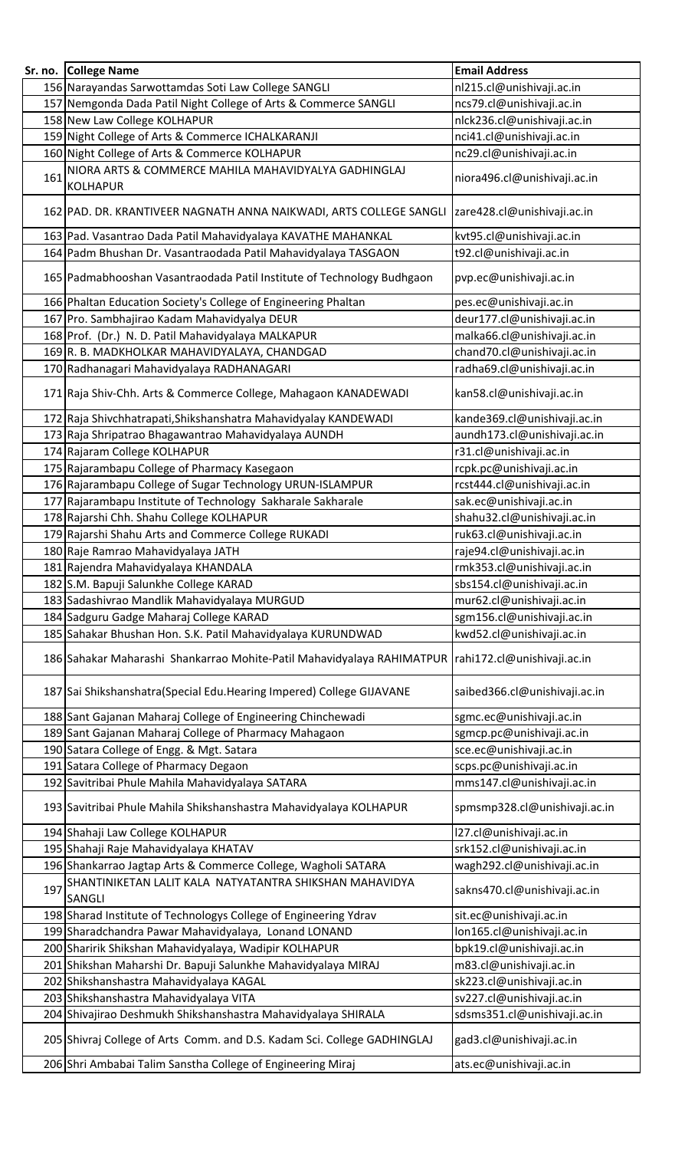|     | Sr. no. College Name                                                                                | <b>Email Address</b>          |
|-----|-----------------------------------------------------------------------------------------------------|-------------------------------|
|     | 156 Narayandas Sarwottamdas Soti Law College SANGLI                                                 | nl215.cl@unishivaji.ac.in     |
|     | 157 Nemgonda Dada Patil Night College of Arts & Commerce SANGLI                                     | ncs79.cl@unishivaji.ac.in     |
|     | 158 New Law College KOLHAPUR                                                                        | nlck236.cl@unishivaji.ac.in   |
|     | 159 Night College of Arts & Commerce ICHALKARANJI                                                   | nci41.cl@unishivaji.ac.in     |
|     | 160 Night College of Arts & Commerce KOLHAPUR                                                       | nc29.cl@unishivaji.ac.in      |
| 161 | NIORA ARTS & COMMERCE MAHILA MAHAVIDYALYA GADHINGLAJ<br><b>KOLHAPUR</b>                             | niora496.cl@unishivaji.ac.in  |
|     | 162 PAD. DR. KRANTIVEER NAGNATH ANNA NAIKWADI, ARTS COLLEGE SANGLI                                  | zare428.cl@unishivaji.ac.in   |
|     | 163 Pad. Vasantrao Dada Patil Mahavidyalaya KAVATHE MAHANKAL                                        | kvt95.cl@unishivaji.ac.in     |
|     | 164 Padm Bhushan Dr. Vasantraodada Patil Mahavidyalaya TASGAON                                      | t92.cl@unishivaji.ac.in       |
|     | 165 Padmabhooshan Vasantraodada Patil Institute of Technology Budhgaon                              | pvp.ec@unishivaji.ac.in       |
|     | 166 Phaltan Education Society's College of Engineering Phaltan                                      | pes.ec@unishivaji.ac.in       |
|     | 167 Pro. Sambhajirao Kadam Mahavidyalya DEUR                                                        | deur177.cl@unishivaji.ac.in   |
|     | 168 Prof. (Dr.) N. D. Patil Mahavidyalaya MALKAPUR                                                  | malka66.cl@unishivaji.ac.in   |
|     | 169 R. B. MADKHOLKAR MAHAVIDYALAYA, CHANDGAD                                                        | chand70.cl@unishivaji.ac.in   |
|     | 170 Radhanagari Mahavidyalaya RADHANAGARI                                                           | radha69.cl@unishivaji.ac.in   |
|     | 171 Raja Shiv-Chh. Arts & Commerce College, Mahagaon KANADEWADI                                     | kan58.cl@unishivaji.ac.in     |
|     | 172 Raja Shivchhatrapati, Shikshanshatra Mahavidyalay KANDEWADI                                     | kande369.cl@unishivaji.ac.in  |
|     | 173 Raja Shripatrao Bhagawantrao Mahavidyalaya AUNDH                                                | aundh173.cl@unishivaji.ac.in  |
|     | 174 Rajaram College KOLHAPUR                                                                        | r31.cl@unishivaji.ac.in       |
|     | 175 Rajarambapu College of Pharmacy Kasegaon                                                        | rcpk.pc@unishivaji.ac.in      |
|     | 176 Rajarambapu College of Sugar Technology URUN-ISLAMPUR                                           | rcst444.cl@unishivaji.ac.in   |
|     | 177 Rajarambapu Institute of Technology Sakharale Sakharale                                         | sak.ec@unishivaji.ac.in       |
|     | 178 Rajarshi Chh. Shahu College KOLHAPUR                                                            | shahu32.cl@unishivaji.ac.in   |
|     | 179 Rajarshi Shahu Arts and Commerce College RUKADI                                                 | ruk63.cl@unishivaji.ac.in     |
|     | 180 Raje Ramrao Mahavidyalaya JATH                                                                  | raje94.cl@unishivaji.ac.in    |
|     | 181 Rajendra Mahavidyalaya KHANDALA                                                                 | rmk353.cl@unishivaji.ac.in    |
|     | 182 S.M. Bapuji Salunkhe College KARAD                                                              | sbs154.cl@unishivaji.ac.in    |
|     | 183 Sadashivrao Mandlik Mahavidyalaya MURGUD                                                        | mur62.cl@unishivaji.ac.in     |
|     | 184 Sadguru Gadge Maharaj College KARAD                                                             | sgm156.cl@unishivaji.ac.in    |
|     | 185 Sahakar Bhushan Hon. S.K. Patil Mahavidyalaya KURUNDWAD                                         | kwd52.cl@unishivaji.ac.in     |
|     | 186 Sahakar Maharashi Shankarrao Mohite-Patil Mahavidyalaya RAHIMATPUR  rahi172.cl@unishivaji.ac.in |                               |
|     | 187 Sai Shikshanshatra (Special Edu. Hearing Impered) College GIJAVANE                              | saibed366.cl@unishivaji.ac.in |
|     | 188 Sant Gajanan Maharaj College of Engineering Chinchewadi                                         | sgmc.ec@unishivaji.ac.in      |
|     | 189 Sant Gajanan Maharaj College of Pharmacy Mahagaon                                               | sgmcp.pc@unishivaji.ac.in     |
|     | 190 Satara College of Engg. & Mgt. Satara                                                           | sce.ec@unishivaji.ac.in       |
|     | 191 Satara College of Pharmacy Degaon                                                               | scps.pc@unishivaji.ac.in      |
|     | 192 Savitribai Phule Mahila Mahavidyalaya SATARA                                                    | mms147.cl@unishivaji.ac.in    |
|     | 193 Savitribai Phule Mahila Shikshanshastra Mahavidyalaya KOLHAPUR                                  | spmsmp328.cl@unishivaji.ac.in |
|     | 194 Shahaji Law College KOLHAPUR                                                                    | l27.cl@unishivaji.ac.in       |
|     | 195 Shahaji Raje Mahavidyalaya KHATAV                                                               | srk152.cl@unishivaji.ac.in    |
|     | 196 Shankarrao Jagtap Arts & Commerce College, Wagholi SATARA                                       | wagh292.cl@unishivaji.ac.in   |
| 197 | SHANTINIKETAN LALIT KALA NATYATANTRA SHIKSHAN MAHAVIDYA<br>SANGLI                                   | sakns470.cl@unishivaji.ac.in  |
|     | 198 Sharad Institute of Technologys College of Engineering Ydrav                                    | sit.ec@unishivaji.ac.in       |
|     | 199 Sharadchandra Pawar Mahavidyalaya, Lonand LONAND                                                | lon165.cl@unishivaji.ac.in    |
|     | 200 Sharirik Shikshan Mahavidyalaya, Wadipir KOLHAPUR                                               | bpk19.cl@unishivaji.ac.in     |
|     | 201 Shikshan Maharshi Dr. Bapuji Salunkhe Mahavidyalaya MIRAJ                                       | m83.cl@unishivaji.ac.in       |
|     | 202 Shikshanshastra Mahavidyalaya KAGAL                                                             | sk223.cl@unishivaji.ac.in     |
|     | 203 Shikshanshastra Mahavidyalaya VITA                                                              | sv227.cl@unishivaji.ac.in     |
|     | 204 Shivajirao Deshmukh Shikshanshastra Mahavidyalaya SHIRALA                                       | sdsms351.cl@unishivaji.ac.in  |
|     | 205 Shivraj College of Arts Comm. and D.S. Kadam Sci. College GADHINGLAJ                            | gad3.cl@unishivaji.ac.in      |
|     | 206 Shri Ambabai Talim Sanstha College of Engineering Miraj                                         | ats.ec@unishivaji.ac.in       |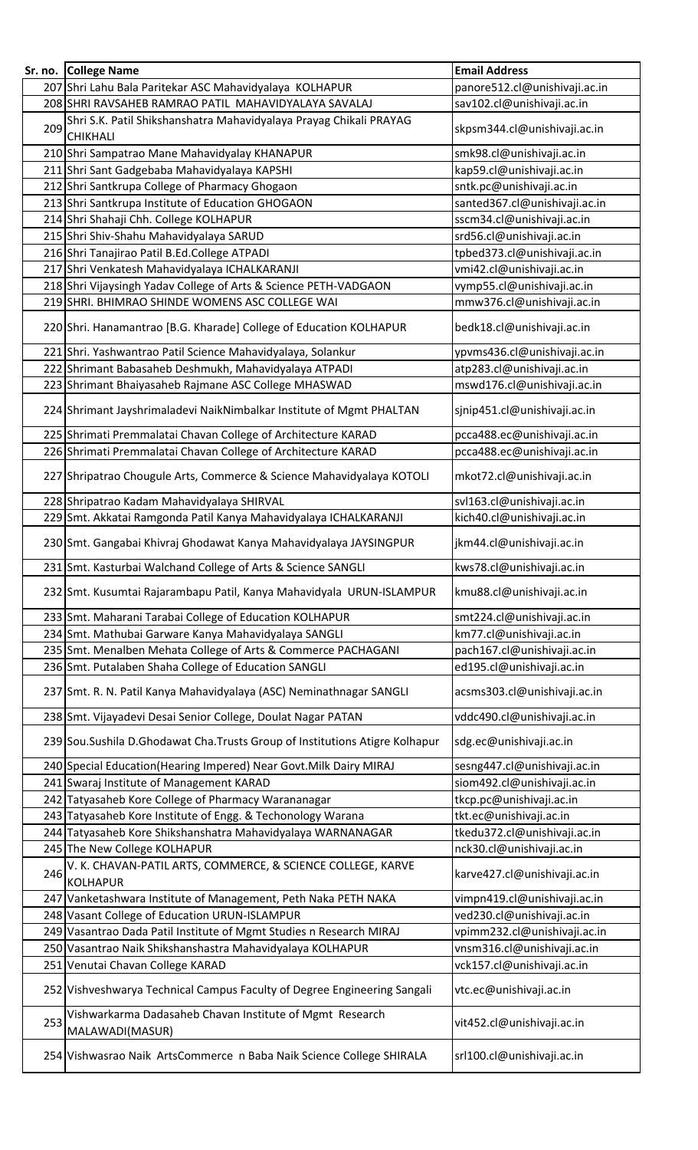|     | Sr. no. College Name                                                                                                           | <b>Email Address</b>                                       |
|-----|--------------------------------------------------------------------------------------------------------------------------------|------------------------------------------------------------|
|     | 207 Shri Lahu Bala Paritekar ASC Mahavidyalaya KOLHAPUR                                                                        | panore512.cl@unishivaji.ac.in                              |
|     | 208 SHRI RAVSAHEB RAMRAO PATIL MAHAVIDYALAYA SAVALAJ                                                                           | sav102.cl@unishivaji.ac.in                                 |
| 209 | Shri S.K. Patil Shikshanshatra Mahavidyalaya Prayag Chikali PRAYAG                                                             | skpsm344.cl@unishivaji.ac.in                               |
|     | <b>CHIKHALI</b>                                                                                                                |                                                            |
|     | 210 Shri Sampatrao Mane Mahavidyalay KHANAPUR                                                                                  | smk98.cl@unishivaji.ac.in                                  |
|     | 211 Shri Sant Gadgebaba Mahavidyalaya KAPSHI                                                                                   | kap59.cl@unishivaji.ac.in                                  |
|     | 212 Shri Santkrupa College of Pharmacy Ghogaon                                                                                 | sntk.pc@unishivaji.ac.in                                   |
|     | 213 Shri Santkrupa Institute of Education GHOGAON                                                                              | santed367.cl@unishivaji.ac.in                              |
|     | 214 Shri Shahaji Chh. College KOLHAPUR                                                                                         | sscm34.cl@unishivaji.ac.in                                 |
|     | 215 Shri Shiv-Shahu Mahavidyalaya SARUD                                                                                        | srd56.cl@unishivaji.ac.in                                  |
|     | 216 Shri Tanajirao Patil B.Ed.College ATPADI                                                                                   | tpbed373.cl@unishivaji.ac.in                               |
|     | 217 Shri Venkatesh Mahavidyalaya ICHALKARANJI                                                                                  | vmi42.cl@unishivaji.ac.in                                  |
|     | 218 Shri Vijaysingh Yadav College of Arts & Science PETH-VADGAON                                                               | vymp55.cl@unishivaji.ac.in                                 |
|     | 219 SHRI. BHIMRAO SHINDE WOMENS ASC COLLEGE WAI                                                                                | mmw376.cl@unishivaji.ac.in                                 |
|     | 220 Shri. Hanamantrao [B.G. Kharade] College of Education KOLHAPUR                                                             | bedk18.cl@unishivaji.ac.in                                 |
|     | 221 Shri. Yashwantrao Patil Science Mahavidyalaya, Solankur                                                                    | ypvms436.cl@unishivaji.ac.in                               |
|     | 222 Shrimant Babasaheb Deshmukh, Mahavidyalaya ATPADI                                                                          | atp283.cl@unishivaji.ac.in                                 |
|     | 223 Shrimant Bhaiyasaheb Rajmane ASC College MHASWAD                                                                           | mswd176.cl@unishivaji.ac.in                                |
|     | 224 Shrimant Jayshrimaladevi NaikNimbalkar Institute of Mgmt PHALTAN                                                           | sjnip451.cl@unishivaji.ac.in                               |
|     |                                                                                                                                |                                                            |
|     | 225 Shrimati Premmalatai Chavan College of Architecture KARAD<br>226 Shrimati Premmalatai Chavan College of Architecture KARAD | pcca488.ec@unishivaji.ac.in<br>pcca488.ec@unishivaji.ac.in |
|     |                                                                                                                                |                                                            |
|     | 227 Shripatrao Chougule Arts, Commerce & Science Mahavidyalaya KOTOLI                                                          | mkot72.cl@unishivaji.ac.in                                 |
|     | 228 Shripatrao Kadam Mahavidyalaya SHIRVAL                                                                                     | svl163.cl@unishivaji.ac.in                                 |
|     | 229 Smt. Akkatai Ramgonda Patil Kanya Mahavidyalaya ICHALKARANJI                                                               | kich40.cl@unishivaji.ac.in                                 |
|     | 230 Smt. Gangabai Khivraj Ghodawat Kanya Mahavidyalaya JAYSINGPUR                                                              | jkm44.cl@unishivaji.ac.in                                  |
|     | 231 Smt. Kasturbai Walchand College of Arts & Science SANGLI                                                                   | kws78.cl@unishivaji.ac.in                                  |
|     | 232 Smt. Kusumtai Rajarambapu Patil, Kanya Mahavidyala URUN-ISLAMPUR                                                           | kmu88.cl@unishivaji.ac.in                                  |
|     | 233 Smt. Maharani Tarabai College of Education KOLHAPUR                                                                        | smt224.cl@unishivaji.ac.in                                 |
|     | 234 Smt. Mathubai Garware Kanya Mahavidyalaya SANGLI                                                                           | km77.cl@unishivaji.ac.in                                   |
|     | 235 Smt. Menalben Mehata College of Arts & Commerce PACHAGANI                                                                  | pach167.cl@unishivaji.ac.in                                |
|     | 236 Smt. Putalaben Shaha College of Education SANGLI                                                                           | ed195.cl@unishivaji.ac.in                                  |
|     | 237 Smt. R. N. Patil Kanya Mahavidyalaya (ASC) Neminathnagar SANGLI                                                            | acsms303.cl@unishivaji.ac.in                               |
|     | 238 Smt. Vijayadevi Desai Senior College, Doulat Nagar PATAN                                                                   | vddc490.cl@unishivaji.ac.in                                |
|     | 239 Sou. Sushila D. Ghodawat Cha. Trusts Group of Institutions Atigre Kolhapur                                                 | sdg.ec@unishivaji.ac.in                                    |
|     | 240 Special Education (Hearing Impered) Near Govt. Milk Dairy MIRAJ                                                            | sesng447.cl@unishivaji.ac.in                               |
|     | 241 Swaraj Institute of Management KARAD                                                                                       | siom492.cl@unishivaji.ac.in                                |
|     | 242 Tatyasaheb Kore College of Pharmacy Warananagar                                                                            | tkcp.pc@unishivaji.ac.in                                   |
|     | 243 Tatyasaheb Kore Institute of Engg. & Techonology Warana                                                                    | tkt.ec@unishivaji.ac.in                                    |
|     | 244 Tatyasaheb Kore Shikshanshatra Mahavidyalaya WARNANAGAR                                                                    | tkedu372.cl@unishivaji.ac.in                               |
|     | 245 The New College KOLHAPUR                                                                                                   | nck30.cl@unishivaji.ac.in                                  |
| 246 | V. K. CHAVAN-PATIL ARTS, COMMERCE, & SCIENCE COLLEGE, KARVE<br><b>KOLHAPUR</b>                                                 | karve427.cl@unishivaji.ac.in                               |
|     | 247 Vanketashwara Institute of Management, Peth Naka PETH NAKA                                                                 | vimpn419.cl@unishivaji.ac.in                               |
|     | 248 Vasant College of Education URUN-ISLAMPUR                                                                                  | ved230.cl@unishivaji.ac.in                                 |
|     | 249 Vasantrao Dada Patil Institute of Mgmt Studies n Research MIRAJ                                                            | vpimm232.cl@unishivaji.ac.in                               |
|     | 250 Vasantrao Naik Shikshanshastra Mahavidyalaya KOLHAPUR                                                                      | vnsm316.cl@unishivaji.ac.in                                |
|     | 251 Venutai Chavan College KARAD                                                                                               | vck157.cl@unishivaji.ac.in                                 |
|     | 252 Vishveshwarya Technical Campus Faculty of Degree Engineering Sangali                                                       | vtc.ec@unishivaji.ac.in                                    |
| 253 | Vishwarkarma Dadasaheb Chavan Institute of Mgmt Research<br>MALAWADI(MASUR)                                                    | vit452.cl@unishivaji.ac.in                                 |
|     | 254 Vishwasrao Naik ArtsCommerce n Baba Naik Science College SHIRALA                                                           | srl100.cl@unishivaji.ac.in                                 |